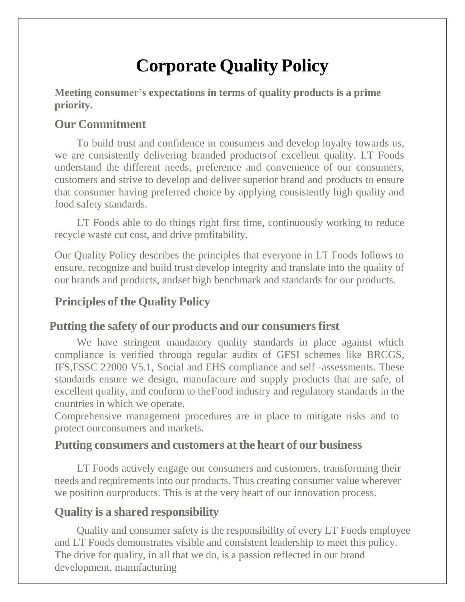# **Corporate Quality Policy**

**Meeting consumer's expectations in terms of quality products is a prime priority.**

## **Our Commitment**

To build trust and confidence in consumers and develop loyalty towards us, we are consistently delivering branded products of excellent quality. LT Foods understand the different needs, preference and convenience of our consumers, customers and strive to develop and deliver superior brand and products to ensure that consumer having preferred choice by applying consistently high quality and food safety standards.

LT Foods able to do things right first time, continuously working to reduce recycle waste cut cost, and drive profitability.

Our Quality Policy describes the principles that everyone in LT Foods follows to ensure, recognize and build trust develop integrity and translate into the quality of our brands and products, andset high benchmark and standards for our products.

# **Principles of the Quality Policy**

## **Putting the safety of our products and our consumers first**

We have stringent mandatory quality standards in place against which compliance is verified through regular audits of GFSI schemes like BRCGS, IFS,FSSC 22000 V5.1, Social and EHS compliance and self -assessments. These standards ensure we design, manufacture and supply products that are safe, of excellent quality, and conform to theFood industry and regulatory standards in the countries in which we operate.

Comprehensive management procedures are in place to mitigate risks and to protect ourconsumers and markets.

#### **Putting consumers and customers at the heart of our business**

LT Foods actively engage our consumers and customers, transforming their needs and requirements into our products. Thus creating consumer value wherever we position ourproducts. This is at the very heart of our innovation process.

## **Quality is a shared responsibility**

Quality and consumer safety is the responsibility of every LT Foods employee and LT Foods demonstrates visible and consistent leadership to meet this policy. The drive for quality, in all that we do, is a passion reflected in our brand development, manufacturing